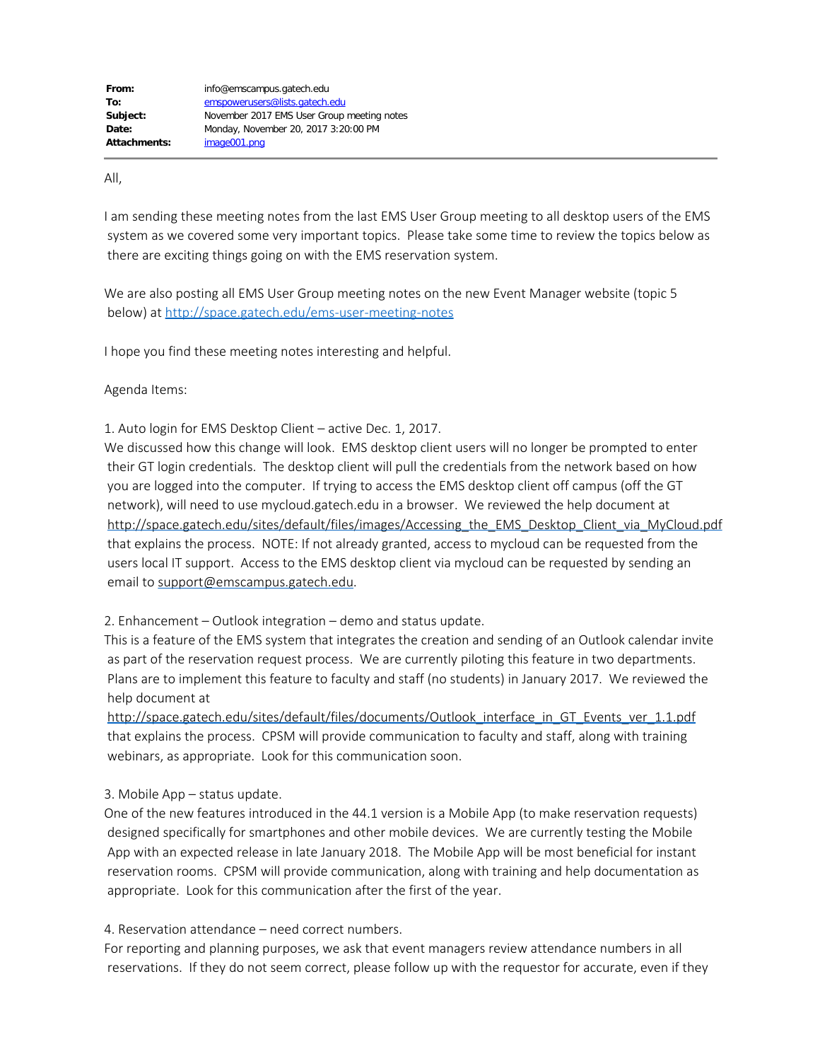All,

I am sending these meeting notes from the last EMS User Group meeting to all desktop users of the EMS system as we covered some very important topics. Please take some time to review the topics below as there are exciting things going on with the EMS reservation system.

We are also posting all EMS User Group meeting notes on the new Event Manager website (topic 5 below) at <http://space.gatech.edu/ems-user-meeting-notes>

I hope you find these meeting notes interesting and helpful.

## Agenda Items:

1. Auto login for EMS Desktop Client – active Dec. 1, 2017.

We discussed how this change will look. EMS desktop client users will no longer be prompted to enter their GT login credentials. The desktop client will pull the credentials from the network based on how you are logged into the computer. If trying to access the EMS desktop client off campus (off the GT network), will need to use mycloud.gatech.edu in a browser. We reviewed the help document at [http://space.gatech.edu/sites/default/files/images/Accessing\\_the\\_EMS\\_Desktop\\_Client\\_via\\_MyCloud.pdf](http://space.gatech.edu/sites/default/files/images/Accessing_the_EMS_Desktop_Client_via_MyCloud.pdf) that explains the process. NOTE: If not already granted, access to mycloud can be requested from the users local IT support. Access to the EMS desktop client via mycloud can be requested by sending an email to [support@emscampus.gatech.edu](mailto:support@emscampus.gatech.edu).

2. Enhancement – Outlook integration – demo and status update.

This is a feature of the EMS system that integrates the creation and sending of an Outlook calendar invite as part of the reservation request process. We are currently piloting this feature in two departments. Plans are to implement this feature to faculty and staff (no students) in January 2017. We reviewed the help document at

[http://space.gatech.edu/sites/default/files/documents/Outlook\\_interface\\_in\\_GT\\_Events\\_ver\\_1.1.pdf](http://space.gatech.edu/sites/default/files/documents/Outlook_interface_in_GT_Events_ver_1.1.pdf) that explains the process. CPSM will provide communication to faculty and staff, along with training webinars, as appropriate. Look for this communication soon.

## 3. Mobile App – status update.

One of the new features introduced in the 44.1 version is a Mobile App (to make reservation requests) designed specifically for smartphones and other mobile devices. We are currently testing the Mobile App with an expected release in late January 2018. The Mobile App will be most beneficial for instant reservation rooms. CPSM will provide communication, along with training and help documentation as appropriate. Look for this communication after the first of the year.

## 4. Reservation attendance – need correct numbers.

For reporting and planning purposes, we ask that event managers review attendance numbers in all reservations. If they do not seem correct, please follow up with the requestor for accurate, even if they